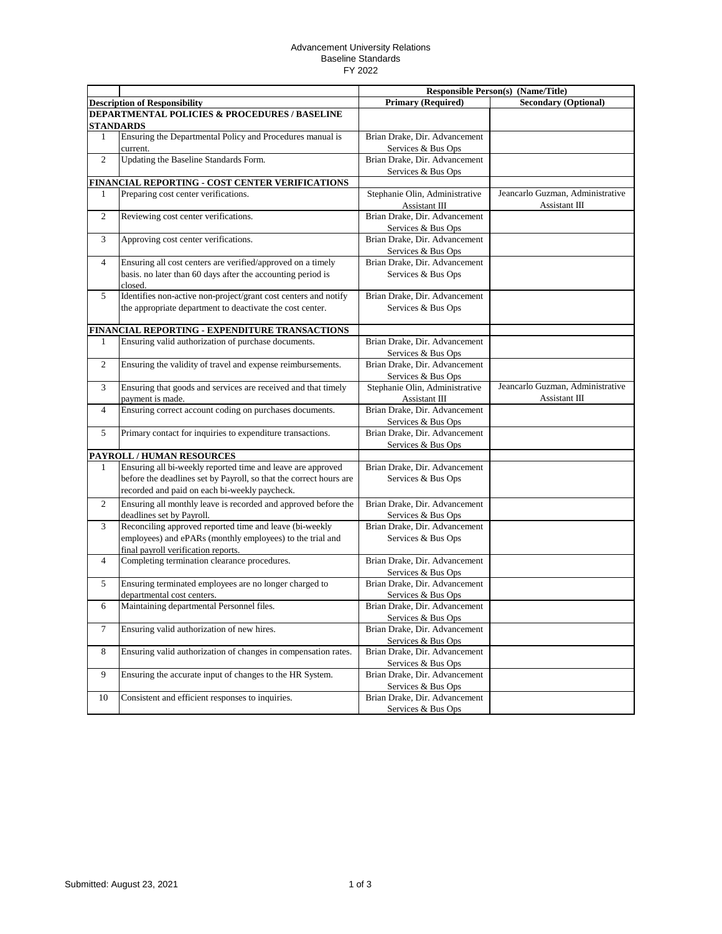## Advancement University Relations Baseline Standards FY 2022

|                                                            |                                                                    | <b>Responsible Person(s) (Name/Title)</b> |                                  |  |  |
|------------------------------------------------------------|--------------------------------------------------------------------|-------------------------------------------|----------------------------------|--|--|
|                                                            | <b>Description of Responsibility</b>                               | <b>Primary (Required)</b>                 | <b>Secondary (Optional)</b>      |  |  |
| DEPARTMENTAL POLICIES & PROCEDURES / BASELINE<br>STANDARDS |                                                                    |                                           |                                  |  |  |
| 1                                                          | Ensuring the Departmental Policy and Procedures manual is          | Brian Drake, Dir. Advancement             |                                  |  |  |
|                                                            | current.                                                           | Services & Bus Ops                        |                                  |  |  |
| 2                                                          | Updating the Baseline Standards Form.                              | Brian Drake, Dir. Advancement             |                                  |  |  |
|                                                            |                                                                    | Services & Bus Ops                        |                                  |  |  |
|                                                            | FINANCIAL REPORTING - COST CENTER VERIFICATIONS                    |                                           |                                  |  |  |
| 1                                                          | Preparing cost center verifications.                               | Stephanie Olin, Administrative            | Jeancarlo Guzman, Administrative |  |  |
|                                                            |                                                                    | Assistant III                             | Assistant III                    |  |  |
| 2                                                          | Reviewing cost center verifications.                               | Brian Drake, Dir. Advancement             |                                  |  |  |
|                                                            |                                                                    | Services & Bus Ops                        |                                  |  |  |
| 3                                                          | Approving cost center verifications.                               | Brian Drake, Dir. Advancement             |                                  |  |  |
|                                                            |                                                                    | Services & Bus Ops                        |                                  |  |  |
| $\overline{4}$                                             | Ensuring all cost centers are verified/approved on a timely        | Brian Drake, Dir. Advancement             |                                  |  |  |
|                                                            | basis. no later than 60 days after the accounting period is        | Services & Bus Ops                        |                                  |  |  |
|                                                            | closed.                                                            |                                           |                                  |  |  |
| 5                                                          | Identifies non-active non-project/grant cost centers and notify    | Brian Drake, Dir. Advancement             |                                  |  |  |
|                                                            | the appropriate department to deactivate the cost center.          | Services & Bus Ops                        |                                  |  |  |
|                                                            |                                                                    |                                           |                                  |  |  |
|                                                            | FINANCIAL REPORTING - EXPENDITURE TRANSACTIONS                     |                                           |                                  |  |  |
| 1                                                          | Ensuring valid authorization of purchase documents.                | Brian Drake, Dir. Advancement             |                                  |  |  |
|                                                            |                                                                    | Services & Bus Ops                        |                                  |  |  |
| 2                                                          | Ensuring the validity of travel and expense reimbursements.        | Brian Drake, Dir. Advancement             |                                  |  |  |
|                                                            |                                                                    | Services & Bus Ops                        |                                  |  |  |
| 3                                                          | Ensuring that goods and services are received and that timely      | Stephanie Olin, Administrative            | Jeancarlo Guzman, Administrative |  |  |
|                                                            | payment is made.                                                   | Assistant III                             | Assistant III                    |  |  |
| $\overline{4}$                                             | Ensuring correct account coding on purchases documents.            | Brian Drake, Dir. Advancement             |                                  |  |  |
|                                                            |                                                                    | Services & Bus Ops                        |                                  |  |  |
| 5                                                          | Primary contact for inquiries to expenditure transactions.         | Brian Drake, Dir. Advancement             |                                  |  |  |
|                                                            |                                                                    | Services & Bus Ops                        |                                  |  |  |
|                                                            | PAYROLL / HUMAN RESOURCES                                          |                                           |                                  |  |  |
| 1                                                          | Ensuring all bi-weekly reported time and leave are approved        | Brian Drake, Dir. Advancement             |                                  |  |  |
|                                                            | before the deadlines set by Payroll, so that the correct hours are | Services & Bus Ops                        |                                  |  |  |
|                                                            | recorded and paid on each bi-weekly paycheck.                      |                                           |                                  |  |  |
| $\overline{c}$                                             | Ensuring all monthly leave is recorded and approved before the     | Brian Drake, Dir. Advancement             |                                  |  |  |
|                                                            | deadlines set by Payroll.                                          | Services & Bus Ops                        |                                  |  |  |
| 3                                                          | Reconciling approved reported time and leave (bi-weekly            | Brian Drake, Dir. Advancement             |                                  |  |  |
|                                                            | employees) and ePARs (monthly employees) to the trial and          | Services & Bus Ops                        |                                  |  |  |
|                                                            | final payroll verification reports.                                |                                           |                                  |  |  |
| $\overline{4}$                                             | Completing termination clearance procedures.                       | Brian Drake, Dir. Advancement             |                                  |  |  |
|                                                            |                                                                    | Services & Bus Ops                        |                                  |  |  |
| 5                                                          | Ensuring terminated employees are no longer charged to             | Brian Drake, Dir. Advancement             |                                  |  |  |
|                                                            | departmental cost centers.                                         | Services & Bus Ops                        |                                  |  |  |
| 6                                                          | Maintaining departmental Personnel files.                          | Brian Drake, Dir. Advancement             |                                  |  |  |
|                                                            |                                                                    | Services & Bus Ops                        |                                  |  |  |
| $\tau$                                                     | Ensuring valid authorization of new hires.                         | Brian Drake, Dir. Advancement             |                                  |  |  |
|                                                            |                                                                    | Services & Bus Ops                        |                                  |  |  |
| 8                                                          | Ensuring valid authorization of changes in compensation rates.     | Brian Drake, Dir. Advancement             |                                  |  |  |
|                                                            |                                                                    | Services & Bus Ops                        |                                  |  |  |
| 9                                                          | Ensuring the accurate input of changes to the HR System.           | Brian Drake, Dir. Advancement             |                                  |  |  |
|                                                            |                                                                    | Services & Bus Ops                        |                                  |  |  |
| 10                                                         | Consistent and efficient responses to inquiries.                   | Brian Drake, Dir. Advancement             |                                  |  |  |
|                                                            |                                                                    | Services & Bus Ops                        |                                  |  |  |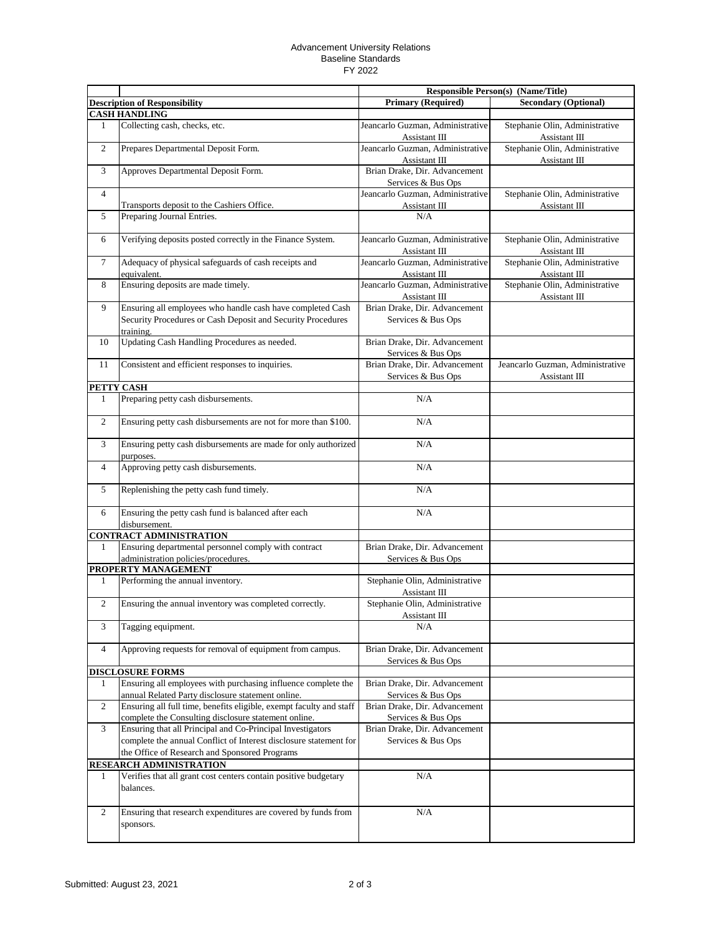## Advancement University Relations Baseline Standards FY 2022

|                |                                                                                                                    |                                                     | <b>Responsible Person(s) (Name/Title)</b>       |
|----------------|--------------------------------------------------------------------------------------------------------------------|-----------------------------------------------------|-------------------------------------------------|
|                | <b>Description of Responsibility</b>                                                                               | <b>Primary (Required)</b>                           | <b>Secondary (Optional)</b>                     |
|                | <b>CASH HANDLING</b>                                                                                               |                                                     |                                                 |
| 1              | Collecting cash, checks, etc.                                                                                      | Jeancarlo Guzman, Administrative<br>Assistant III   | Stephanie Olin, Administrative<br>Assistant III |
| $\mathbf{2}$   | Prepares Departmental Deposit Form.                                                                                | Jeancarlo Guzman, Administrative<br>Assistant III   | Stephanie Olin, Administrative<br>Assistant III |
| 3              | Approves Departmental Deposit Form.                                                                                | Brian Drake, Dir. Advancement<br>Services & Bus Ops |                                                 |
| $\overline{4}$ | Transports deposit to the Cashiers Office.                                                                         | Jeancarlo Guzman, Administrative<br>Assistant III   | Stephanie Olin, Administrative<br>Assistant III |
| 5              | Preparing Journal Entries.                                                                                         | N/A                                                 |                                                 |
| 6              | Verifying deposits posted correctly in the Finance System.                                                         | Jeancarlo Guzman, Administrative<br>Assistant III   | Stephanie Olin, Administrative<br>Assistant III |
| $\tau$         | Adequacy of physical safeguards of cash receipts and<br>equivalent.                                                | Jeancarlo Guzman, Administrative<br>Assistant III   | Stephanie Olin, Administrative<br>Assistant III |
| 8              | Ensuring deposits are made timely.                                                                                 | Jeancarlo Guzman, Administrative<br>Assistant III   | Stephanie Olin, Administrative<br>Assistant III |
| 9              | Ensuring all employees who handle cash have completed Cash                                                         | Brian Drake, Dir. Advancement                       |                                                 |
|                | Security Procedures or Cash Deposit and Security Procedures<br>training.                                           | Services & Bus Ops                                  |                                                 |
| 10             | Updating Cash Handling Procedures as needed.                                                                       | Brian Drake, Dir. Advancement<br>Services & Bus Ops |                                                 |
| 11             | Consistent and efficient responses to inquiries.                                                                   | Brian Drake, Dir. Advancement                       | Jeancarlo Guzman, Administrative                |
|                |                                                                                                                    | Services & Bus Ops                                  | Assistant III                                   |
|                | PETTY CASH                                                                                                         |                                                     |                                                 |
| 1              | Preparing petty cash disbursements.                                                                                | N/A                                                 |                                                 |
| 2              | Ensuring petty cash disbursements are not for more than \$100.                                                     | N/A                                                 |                                                 |
| 3              | Ensuring petty cash disbursements are made for only authorized<br>purposes.                                        | N/A                                                 |                                                 |
| $\overline{4}$ | Approving petty cash disbursements.                                                                                | N/A                                                 |                                                 |
| 5              | Replenishing the petty cash fund timely.                                                                           | N/A                                                 |                                                 |
| 6              | Ensuring the petty cash fund is balanced after each<br>disbursement.                                               | N/A                                                 |                                                 |
|                | <b>CONTRACT ADMINISTRATION</b>                                                                                     |                                                     |                                                 |
| 1              | Ensuring departmental personnel comply with contract                                                               | Brian Drake, Dir. Advancement                       |                                                 |
|                | administration policies/procedures.                                                                                | Services & Bus Ops                                  |                                                 |
|                | PROPERTY MANAGEMENT                                                                                                |                                                     |                                                 |
| 1              | Performing the annual inventory.                                                                                   | Stephanie Olin, Administrative<br>Assistant III     |                                                 |
| $\overline{2}$ | Ensuring the annual inventory was completed correctly.                                                             | Stephanie Olin, Administrative<br>Assistant III     |                                                 |
| 3              | Tagging equipment.                                                                                                 | N/A                                                 |                                                 |
| 4              | Approving requests for removal of equipment from campus.                                                           | Brian Drake, Dir. Advancement<br>Services & Bus Ops |                                                 |
|                | <b>DISCLOSURE FORMS</b>                                                                                            |                                                     |                                                 |
| 1              | Ensuring all employees with purchasing influence complete the<br>annual Related Party disclosure statement online. | Brian Drake, Dir. Advancement<br>Services & Bus Ops |                                                 |
| 2              | Ensuring all full time, benefits eligible, exempt faculty and staff                                                | Brian Drake, Dir. Advancement                       |                                                 |
|                | complete the Consulting disclosure statement online.                                                               | Services & Bus Ops                                  |                                                 |
| 3              | Ensuring that all Principal and Co-Principal Investigators                                                         | Brian Drake, Dir. Advancement                       |                                                 |
|                | complete the annual Conflict of Interest disclosure statement for<br>the Office of Research and Sponsored Programs | Services & Bus Ops                                  |                                                 |
|                | <b>RESEARCH ADMINISTRATION</b>                                                                                     |                                                     |                                                 |
| 1              | Verifies that all grant cost centers contain positive budgetary<br>balances.                                       | N/A                                                 |                                                 |
| 2              | Ensuring that research expenditures are covered by funds from<br>sponsors.                                         | N/A                                                 |                                                 |
|                |                                                                                                                    |                                                     |                                                 |